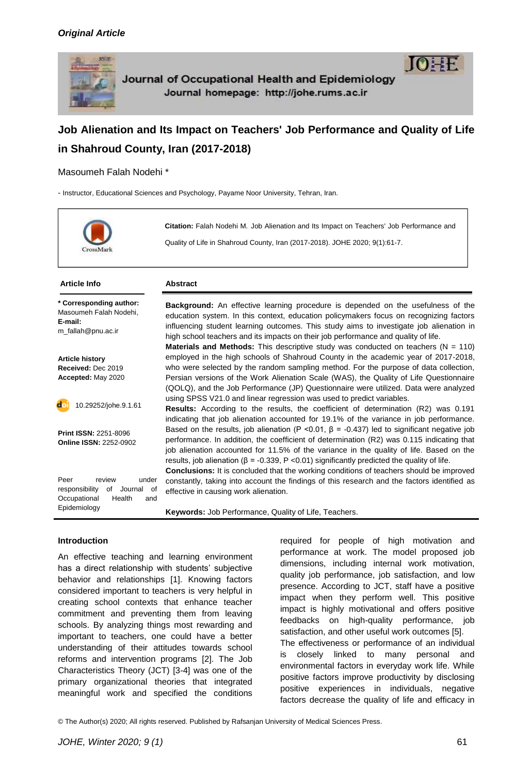

# **Job Alienation and Its Impact on Teachers' Job Performance and Quality of Life in Shahroud County, Iran (2017-2018)**

Masoumeh Falah Nodehi \*

- Instructor, Educational Sciences and Psychology, Payame Noor University, Tehran, Iran.



**Citation:** Falah Nodehi M. Job Alienation and Its Impact on Teachers' Job Performance and Quality of Life in Shahroud County, Iran (2017-2018). JOHE 2020; 9(1):61-7.

#### **Article Info Abstract**

**\* Corresponding author:** Masoumeh Falah Nodehi, **E-mail:**  [m\\_fallah@pnu.ac.ir](mailto:m_fallah@pnu.ac.ir)

**Article history Received:** Dec 2019 **Accepted:** May 2020

10.29252/johe.9.1.61

**Print ISSN:** 2251-8096 **Online ISSN:** 2252-0902

Peer review under responsibility of Journal of Occupational Health and Epidemiology

**Background:** An effective learning procedure is depended on the usefulness of the education system. In this context, education policymakers focus on recognizing factors influencing student learning outcomes. This study aims to investigate job alienation in high school teachers and its impacts on their job performance and quality of life. **Materials and Methods:** This descriptive study was conducted on teachers  $(N = 110)$ 

employed in the high schools of Shahroud County in the academic year of 2017-2018, who were selected by the random sampling method. For the purpose of data collection, Persian versions of the Work Alienation Scale (WAS), the Quality of Life Questionnaire (QOLQ), and the Job Performance (JP) Questionnaire were utilized. Data were analyzed using SPSS V21.0 and linear regression was used to predict variables.

**Results:** According to the results, the coefficient of determination (R2) was 0.191 indicating that job alienation accounted for 19.1% of the variance in job performance. Based on the results, job alienation (P <0.01,  $\beta$  = -0.437) led to significant negative job performance. In addition, the coefficient of determination (R2) was 0.115 indicating that job alienation accounted for 11.5% of the variance in the quality of life. Based on the results, job alienation ( $β = -0.339$ ,  $P < 0.01$ ) significantly predicted the quality of life.

**Conclusions:** It is concluded that the working conditions of teachers should be improved constantly, taking into account the findings of this research and the factors identified as effective in causing work alienation.

**Keywords:** Job Performance, Quality of Life, Teachers.

#### **Introduction**

An effective teaching and learning environment has a direct relationship with students' subjective behavior and relationships [1]. Knowing factors considered important to teachers is very helpful in creating school contexts that enhance teacher commitment and preventing them from leaving schools. By analyzing things most rewarding and important to teachers, one could have a better understanding of their attitudes towards school reforms and intervention programs [2]. The Job Characteristics Theory (JCT) [3-4] was one of the primary organizational theories that integrated meaningful work and specified the conditions

required for people of high motivation and performance at work. The model proposed job dimensions, including internal work motivation, quality job performance, job satisfaction, and low presence. According to JCT, staff have a positive impact when they perform well. This positive impact is highly motivational and offers positive feedbacks on high-quality performance, job satisfaction, and other useful work outcomes [5]. The effectiveness or performance of an individual is closely linked to many personal and environmental factors in everyday work life. While positive factors improve productivity by disclosing positive experiences in individuals, negative factors decrease the quality of life and efficacy in

© The Author(s) 2020; All rights reserved. Published by Rafsanjan University of Medical Sciences Press.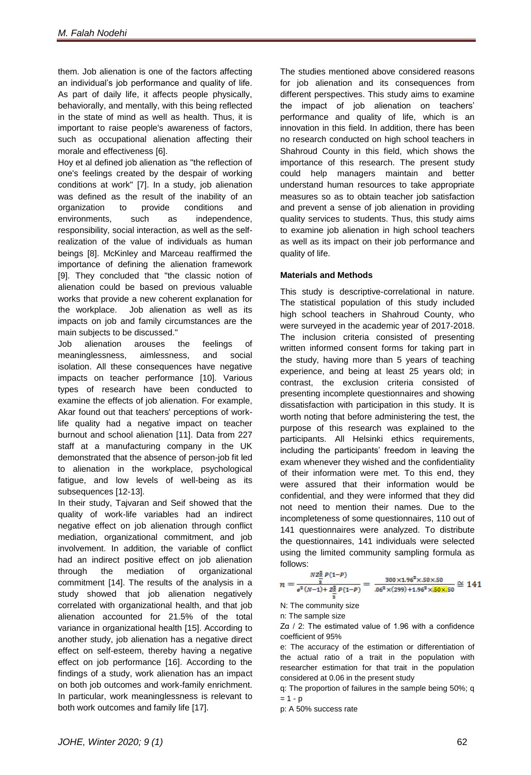them. Job alienation is one of the factors affecting an individual's job performance and quality of life. As part of daily life, it affects people physically, behaviorally, and mentally, with this being reflected in the state of mind as well as health. Thus, it is important to raise people's awareness of factors, such as occupational alienation affecting their morale and effectiveness [6].

Hoy et al defined job alienation as "the reflection of one's feelings created by the despair of working conditions at work" [7]. In a study, job alienation was defined as the result of the inability of an organization to provide conditions and environments, such as independence, responsibility, social interaction, as well as the selfrealization of the value of individuals as human beings [8]. McKinley and Marceau reaffirmed the importance of defining the alienation framework [9]. They concluded that "the classic notion of alienation could be based on previous valuable works that provide a new coherent explanation for the workplace. Job alienation as well as its impacts on job and family circumstances are the main subjects to be discussed."

Job alienation arouses the feelings of meaninglessness, aimlessness, and social isolation. All these consequences have negative impacts on teacher performance [10]. Various types of research have been conducted to examine the effects of job alienation. For example, Akar found out that teachers' perceptions of worklife quality had a negative impact on teacher burnout and school alienation [11]. Data from 227 staff at a manufacturing company in the UK demonstrated that the absence of person-job fit led to alienation in the workplace, psychological fatigue, and low levels of well-being as its subsequences [12-13].

In their study, Tajvaran and Seif showed that the quality of work-life variables had an indirect negative effect on job alienation through conflict mediation, organizational commitment, and job involvement. In addition, the variable of conflict had an indirect positive effect on job alienation through the mediation of organizational commitment [14]. The results of the analysis in a study showed that job alienation negatively correlated with organizational health, and that job alienation accounted for 21.5% of the total variance in organizational health [15]. According to another study, job alienation has a negative direct effect on self-esteem, thereby having a negative effect on job performance [16]. According to the findings of a study, work alienation has an impact on both job outcomes and work-family enrichment. In particular, work meaninglessness is relevant to both work outcomes and family life [17].

The studies mentioned above considered reasons for job alienation and its consequences from different perspectives. This study aims to examine the impact of job alienation on teachers' performance and quality of life, which is an innovation in this field. In addition, there has been no research conducted on high school teachers in Shahroud County in this field, which shows the importance of this research. The present study could help managers maintain and better understand human resources to take appropriate measures so as to obtain teacher job satisfaction and prevent a sense of job alienation in providing quality services to students. Thus, this study aims to examine job alienation in high school teachers as well as its impact on their job performance and quality of life.

#### **Materials and Methods**

This study is descriptive-correlational in nature. The statistical population of this study included high school teachers in Shahroud County, who were surveyed in the academic year of 2017-2018. The inclusion criteria consisted of presenting written informed consent forms for taking part in the study, having more than 5 years of teaching experience, and being at least 25 years old; in contrast, the exclusion criteria consisted of presenting incomplete questionnaires and showing dissatisfaction with participation in this study. It is worth noting that before administering the test, the purpose of this research was explained to the participants. All Helsinki ethics requirements, including the participants' freedom in leaving the exam whenever they wished and the confidentiality of their information were met. To this end, they were assured that their information would be confidential, and they were informed that they did not need to mention their names. Due to the incompleteness of some questionnaires, 110 out of 141 questionnaires were analyzed. To distribute the questionnaires, 141 individuals were selected using the limited community sampling formula as follows:

$$
n = \frac{NZ_{\frac{\pi}{2}}^{\frac{5}{2}}P(1-P)}{e^2(N-1)+Z_{\frac{\pi}{2}}^2P(1-P)} = \frac{300 \times 1.96^2 \times .50 \times .50}{.06^2 \times (299) + 1.96^2 \times \frac{50 \times 150}{150 \times 150}} \approx 141
$$

N: The community size

n: The sample size

Zα / 2: The estimated value of 1.96 with a confidence coefficient of 95%

e: The accuracy of the estimation or differentiation of the actual ratio of a trait in the population with researcher estimation for that trait in the population considered at 0.06 in the present study

q: The proportion of failures in the sample being 50%; q  $= 1 - p$ 

p: A 50% success rate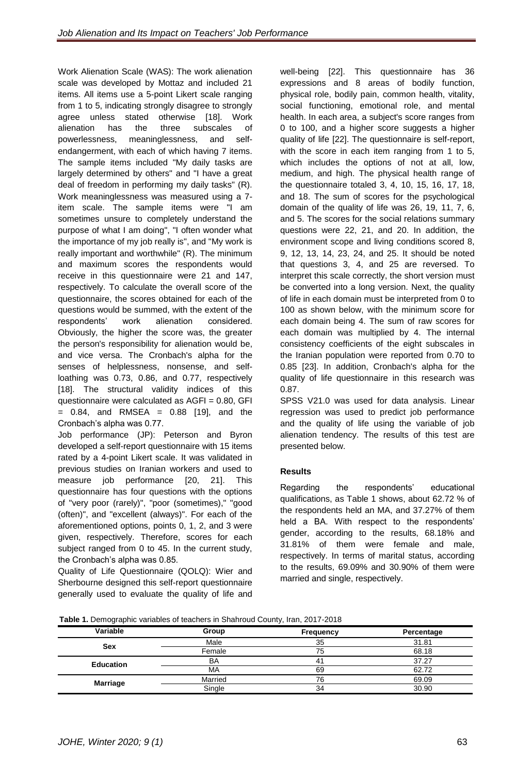Work Alienation Scale (WAS): The work alienation scale was developed by Mottaz and included 21 items. All items use a 5-point Likert scale ranging from 1 to 5, indicating strongly disagree to strongly agree unless stated otherwise [18]. Work alienation has the three subscales of powerlessness, meaninglessness, and selfendangerment, with each of which having 7 items. The sample items included "My daily tasks are largely determined by others" and "I have a great deal of freedom in performing my daily tasks" (R). Work meaninglessness was measured using a 7 item scale. The sample items were "I am sometimes unsure to completely understand the purpose of what I am doing", "I often wonder what the importance of my job really is", and "My work is really important and worthwhile" (R). The minimum and maximum scores the respondents would receive in this questionnaire were 21 and 147, respectively. To calculate the overall score of the questionnaire, the scores obtained for each of the questions would be summed, with the extent of the respondents' work alienation considered. Obviously, the higher the score was, the greater the person's responsibility for alienation would be, and vice versa. The Cronbach's alpha for the senses of helplessness, nonsense, and selfloathing was 0.73, 0.86, and 0.77, respectively [18]. The structural validity indices of this questionnaire were calculated as AGFI = 0.80, GFI  $= 0.84$ , and RMSEA  $= 0.88$  [19], and the Cronbach's alpha was 0.77.

Job performance (JP): Peterson and Byron developed a self-report questionnaire with 15 items rated by a 4-point Likert scale. It was validated in previous studies on Iranian workers and used to measure job performance [20, 21]. This questionnaire has four questions with the options of "very poor (rarely)", "poor (sometimes)," "good (often)", and "excellent (always)". For each of the aforementioned options, points 0, 1, 2, and 3 were given, respectively. Therefore, scores for each subject ranged from 0 to 45. In the current study, the Cronbach's alpha was 0.85.

Quality of Life Questionnaire (QOLQ): Wier and Sherbourne designed this self-report questionnaire generally used to evaluate the quality of life and

well-being [22]. This questionnaire has 36 expressions and 8 areas of bodily function, physical role, bodily pain, common health, vitality, social functioning, emotional role, and mental health. In each area, a subject's score ranges from 0 to 100, and a higher score suggests a higher quality of life [22]. The questionnaire is self-report, with the score in each item ranging from 1 to 5, which includes the options of not at all, low, medium, and high. The physical health range of the questionnaire totaled 3, 4, 10, 15, 16, 17, 18, and 18. The sum of scores for the psychological domain of the quality of life was 26, 19, 11, 7, 6, and 5. The scores for the social relations summary questions were 22, 21, and 20. In addition, the environment scope and living conditions scored 8, 9, 12, 13, 14, 23, 24, and 25. It should be noted that questions 3, 4, and 25 are reversed. To interpret this scale correctly, the short version must be converted into a long version. Next, the quality of life in each domain must be interpreted from 0 to 100 as shown below, with the minimum score for each domain being 4. The sum of raw scores for each domain was multiplied by 4. The internal consistency coefficients of the eight subscales in the Iranian population were reported from 0.70 to 0.85 [23]. In addition, Cronbach's alpha for the quality of life questionnaire in this research was 0.87.

SPSS V21.0 was used for data analysis. Linear regression was used to predict job performance and the quality of life using the variable of job alienation tendency. The results of this test are presented below.

# **Results**

Regarding the respondents' educational qualifications, as Table 1 shows, about 62.72 % of the respondents held an MA, and 37.27% of them held a BA. With respect to the respondents' gender, according to the results, 68.18% and 31.81% of them were female and male, respectively. In terms of marital status, according to the results, 69.09% and 30.90% of them were married and single, respectively.

**[Table 1.](http://archneurosci.com/en/articles/89632.html)** Demographic variables of teachers in Shahroud County, Iran, 2017-2018

| Variable         | Group   | <b>Frequency</b> | Percentage |  |  |
|------------------|---------|------------------|------------|--|--|
| <b>Sex</b>       | Male    | 35               | 31.81      |  |  |
|                  | Female  | 75               | 68.18      |  |  |
| <b>Education</b> | BA      | 41               | 37.27      |  |  |
|                  | МA      | 69               | 62.72      |  |  |
| <b>Marriage</b>  | Married | 76               | 69.09      |  |  |
|                  | Single  | 34               | 30.90      |  |  |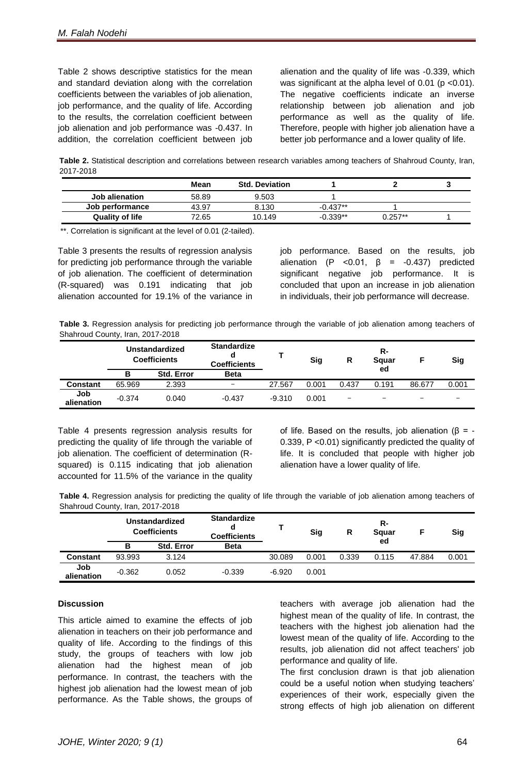Table 2 shows descriptive statistics for the mean and standard deviation along with the correlation coefficients between the variables of job alienation, job performance, and the quality of life. According to the results, the correlation coefficient between job alienation and job performance was -0.437. In addition, the correlation coefficient between job alienation and the quality of life was -0.339, which was significant at the alpha level of 0.01 ( $p$  <0.01). The negative coefficients indicate an inverse relationship between job alienation and job performance as well as the quality of life. Therefore, people with higher job alienation have a better job performance and a lower quality of life.

**Table 2.** Statistical description and correlations between research variables among teachers of Shahroud County, Iran, 2017-2018

|                        | Mean  | <b>Std. Deviation</b> |            |           |  |
|------------------------|-------|-----------------------|------------|-----------|--|
| Job alienation         | 58.89 | 9.503                 |            |           |  |
| Job performance        | 43.97 | 8.130                 | $-0.437**$ |           |  |
| <b>Quality of life</b> | 72.65 | 10.149                | -0.339**   | $0.257**$ |  |

\*\*. Correlation is significant at the level of 0.01 (2-tailed).

Table 3 presents the results of regression analysis for predicting job performance through the variable of job alienation. The coefficient of determination (R-squared) was 0.191 indicating that job alienation accounted for 19.1% of the variance in job performance. Based on the results, job alienation (P < $0.01$ ,  $\beta$  = - $0.437$ ) predicted significant negative job performance. It is concluded that upon an increase in job alienation in individuals, their job performance will decrease.

**Table 3.** Regression analysis for predicting job performance through the variable of job alienation among teachers of Shahroud County, Iran, 2017-2018

|                   | Unstandardized<br><b>Coefficients</b> |                   | <b>Standardize</b><br>d<br><b>Coefficients</b> |          | Sig   | R                        | R-<br>Squar |                          | <b>Sig</b>               |
|-------------------|---------------------------------------|-------------------|------------------------------------------------|----------|-------|--------------------------|-------------|--------------------------|--------------------------|
|                   | В                                     | <b>Std. Error</b> | <b>Beta</b>                                    |          |       |                          | ed          |                          |                          |
| <b>Constant</b>   | 65.969                                | 2.393             | $\overline{\phantom{0}}$                       | 27.567   | 0.001 | 0.437                    | 0.191       | 86.677                   | 0.001                    |
| Job<br>alienation | $-0.374$                              | 0.040             | $-0.437$                                       | $-9.310$ | 0.001 | $\overline{\phantom{0}}$ |             | $\overline{\phantom{0}}$ | $\overline{\phantom{0}}$ |

Table 4 presents regression analysis results for predicting the quality of life through the variable of job alienation. The coefficient of determination (Rsquared) is 0.115 indicating that job alienation accounted for 11.5% of the variance in the quality

of life. Based on the results, job alienation ( $β = -$ 0.339, P <0.01) significantly predicted the quality of life. It is concluded that people with higher job alienation have a lower quality of life.

**Table 4.** Regression analysis for predicting the quality of life through the variable of job alienation among teachers of Shahroud County, Iran, 2017-2018

|                   | Unstandardized<br><b>Coefficients</b> |                   | <b>Standardize</b><br>d<br><b>Coefficients</b> |          | <b>Sig</b> | R     | R-<br>Squar |        | <b>Sig</b> |
|-------------------|---------------------------------------|-------------------|------------------------------------------------|----------|------------|-------|-------------|--------|------------|
|                   | в                                     | <b>Std. Error</b> | <b>Beta</b>                                    |          |            |       | ed          |        |            |
| <b>Constant</b>   | 93.993                                | 3.124             |                                                | 30.089   | 0.001      | 0.339 | 0.115       | 47.884 | 0.001      |
| Job<br>alienation | $-0.362$                              | 0.052             | $-0.339$                                       | $-6.920$ | 0.001      |       |             |        |            |

#### **Discussion**

This article aimed to examine the effects of job alienation in teachers on their job performance and quality of life. According to the findings of this study, the groups of teachers with low job alienation had the highest mean of job performance. In contrast, the teachers with the highest job alienation had the lowest mean of job performance. As the Table shows, the groups of

teachers with average job alienation had the highest mean of the quality of life. In contrast, the teachers with the highest job alienation had the lowest mean of the quality of life. According to the results, job alienation did not affect teachers' job performance and quality of life.

The first conclusion drawn is that job alienation could be a useful notion when studying teachers' experiences of their work, especially given the strong effects of high job alienation on different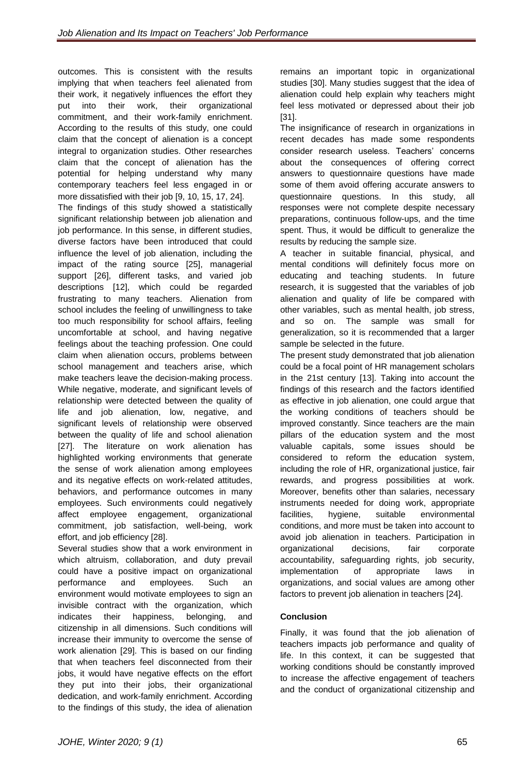outcomes. This is consistent with the results implying that when teachers feel alienated from their work, it negatively influences the effort they put into their work, their organizational commitment, and their work-family enrichment. According to the results of this study, one could claim that the concept of alienation is a concept integral to organization studies. Other researches claim that the concept of alienation has the potential for helping understand why many contemporary teachers feel less engaged in or more dissatisfied with their job [9, 10, 15, 17, 24].

The findings of this study showed a statistically significant relationship between job alienation and job performance. In this sense, in different studies, diverse factors have been introduced that could influence the level of job alienation, including the impact of the rating source [25], managerial support [26], different tasks, and varied job descriptions [12], which could be regarded frustrating to many teachers. Alienation from school includes the feeling of unwillingness to take too much responsibility for school affairs, feeling uncomfortable at school, and having negative feelings about the teaching profession. One could claim when alienation occurs, problems between school management and teachers arise, which make teachers leave the decision-making process. While negative, moderate, and significant levels of relationship were detected between the quality of life and job alienation, low, negative, and significant levels of relationship were observed between the quality of life and school alienation [27]. The literature on work alienation has highlighted working environments that generate the sense of work alienation among employees and its negative effects on work-related attitudes, behaviors, and performance outcomes in many employees. Such environments could negatively affect employee engagement, organizational commitment, job satisfaction, well-being, work effort, and job efficiency [28].

Several studies show that a work environment in which altruism, collaboration, and duty prevail could have a positive impact on organizational performance and employees. Such an environment would motivate employees to sign an invisible contract with the organization, which indicates their happiness, belonging, and citizenship in all dimensions. Such conditions will increase their immunity to overcome the sense of work alienation [29]. This is based on our finding that when teachers feel disconnected from their jobs, it would have negative effects on the effort they put into their jobs, their organizational dedication, and work-family enrichment. According to the findings of this study, the idea of alienation

remains an important topic in organizational studies [30]. Many studies suggest that the idea of alienation could help explain why teachers might feel less motivated or depressed about their job [31].

The insignificance of research in organizations in recent decades has made some respondents consider research useless. Teachers' concerns about the consequences of offering correct answers to questionnaire questions have made some of them avoid offering accurate answers to questionnaire questions. In this study, all responses were not complete despite necessary preparations, continuous follow-ups, and the time spent. Thus, it would be difficult to generalize the results by reducing the sample size.

A teacher in suitable financial, physical, and mental conditions will definitely focus more on educating and teaching students. In future research, it is suggested that the variables of job alienation and quality of life be compared with other variables, such as mental health, job stress, and so on. The sample was small for generalization, so it is recommended that a larger sample be selected in the future.

The present study demonstrated that job alienation could be a focal point of HR management scholars in the 21st century [13]. Taking into account the findings of this research and the factors identified as effective in job alienation, one could argue that the working conditions of teachers should be improved constantly. Since teachers are the main pillars of the education system and the most valuable capitals, some issues should be considered to reform the education system, including the role of HR, organizational justice, fair rewards, and progress possibilities at work. Moreover, benefits other than salaries, necessary instruments needed for doing work, appropriate facilities, hygiene, suitable environmental conditions, and more must be taken into account to avoid job alienation in teachers. Participation in organizational decisions, fair corporate accountability, safeguarding rights, job security, implementation of appropriate laws in organizations, and social values are among other factors to prevent job alienation in teachers [24].

## **Conclusion**

Finally, it was found that the job alienation of teachers impacts job performance and quality of life. In this context, it can be suggested that working conditions should be constantly improved to increase the affective engagement of teachers and the conduct of organizational citizenship and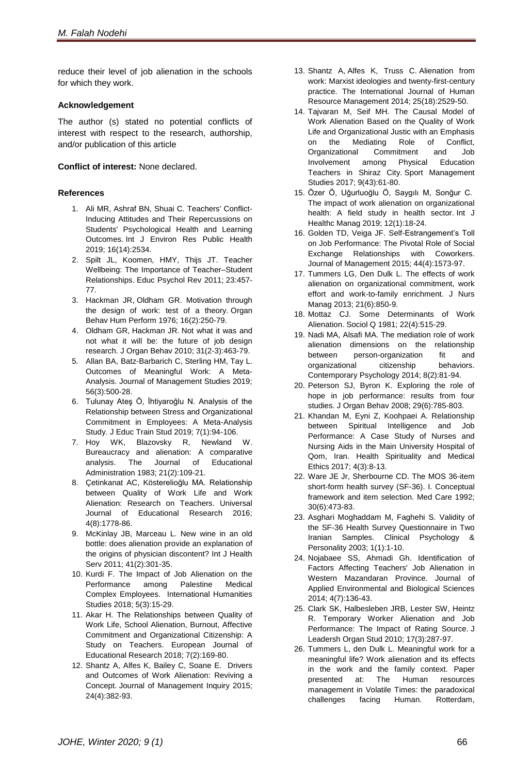reduce their level of job alienation in the schools for which they work.

#### **Acknowledgement**

The author (s) stated no potential conflicts of interest with respect to the research, authorship, and/or publication of this article

### **Conflict of interest:** None declared.

#### **References**

- 1. Ali MR, Ashraf BN, Shuai C. Teachers' Conflict-Inducing Attitudes and Their Repercussions on Students' Psychological Health and Learning Outcomes. Int J Environ Res Public Health 2019; 16(14):2534.
- 2. Spilt JL, Koomen, HMY, Thijs JT. Teacher Wellbeing: The Importance of Teacher–Student Relationships. Educ Psychol Rev 2011; 23:457- 77.
- 3. Hackman JR, Oldham GR. Motivation through the design of work: test of a theory. Organ Behav Hum Perform 1976; 16(2):250-79.
- 4. Oldham GR, Hackman JR. Not what it was and not what it will be: the future of job design research. J Organ Behav 2010; 31(2-3):463-79.
- 5. [Allan](https://onlinelibrary.wiley.com/action/doSearch?ContribAuthorStored=Allan%2C+Blake+A) BA, [Batz-Barbarich](https://onlinelibrary.wiley.com/action/doSearch?ContribAuthorStored=Batz-Barbarich%2C+Cassondra) C, [Sterling](https://onlinelibrary.wiley.com/action/doSearch?ContribAuthorStored=Sterling%2C+Haley+M) HM, [Tay](https://onlinelibrary.wiley.com/action/doSearch?ContribAuthorStored=Tay%2C+Louis) L. Outcomes of Meaningful Work: A Meta-Analysis. Journal of Management Studies 2019; 56(3):500-28.
- 6. Tulunay Ateş Ö, İhtiyaroğlu N. Analysis of the Relationship between Stress and Organizational Commitment in Employees: A Meta-Analysis Study. J Educ Train Stud 2019; 7(1):94-106.
- 7. Hoy WK, Blazovsky R, Newland W. Bureaucracy and alienation: A comparative analysis. The Journal of Educational Administration 1983; 21(2):109-21.
- 8. Çetinkanat AC, Kösterelioğlu MA. Relationship between Quality of Work Life and Work Alienation: Research on Teachers. Universal Journal of Educational Research 2016; 4(8):1778-86.
- 9. McKinlay JB, Marceau L. New wine in an old bottle: does alienation provide an explanation of the origins of physician discontent? Int J Health Serv 2011; 41(2):301-35.
- 10. Kurdi F. The Impact of Job Alienation on the Performance among Palestine Medical Complex Employees. International Humanities Studies 2018; 5(3):15-29.
- 11. Akar H. The Relationships between Quality of Work Life, School Alienation, Burnout, Affective Commitment and Organizational Citizenship: A Study on Teachers. European Journal of Educational Research 2018; 7(2):169-80.
- 12. Shantz A, Alfes K, Bailey C, Soane E. Drivers and Outcomes of Work Alienation: Reviving a Concept. Journal of Management Inquiry 2015; 24(4):382-93.
- 13. Shantz A, Alfes K, Truss C. Alienation from work: Marxist ideologies and twenty-first-century practice. The International Journal of Human Resource Management 2014; 25(18):2529-50.
- 14. Tajvaran M, Seif MH. The Causal Model of Work Alienation Based on the Quality of Work Life and Organizational Justic with an Emphasis on the Mediating Role of Conflict, Organizational Commitment and Job Involvement among Physical Education Teachers in Shiraz City. Sport Management Studies 2017; 9(43):61-80.
- 15. Özer Ö, Uğurluoğlu Ö, Saygılı M, Sonğur C. The impact of work alienation on organizational health: A field study in health sector. Int J Healthc Manag 2019; 12(1):18-24.
- 16. Golden TD, Veiga JF. Self-Estrangement's Toll on Job Performance: The Pivotal Role of Social Exchange Relationships with Coworkers. Journal of Management 2015; 44(4):1573-97.
- 17. Tummers LG, Den Dulk L. The effects of work alienation on organizational commitment, work effort and work-to-family enrichment. J Nurs Manag 2013; 21(6):850-9.
- 18. Mottaz CJ. Some Determinants of Work Alienation. Sociol Q 1981; 22(4):515-29.
- 19. Nadi MA, Alsafi MA. The mediation role of work alienation dimensions on the relationship between person-organization fit and organizational citizenship behaviors. Contemporary Psychology 2014; 8(2):81-94.
- 20. Peterson SJ, Byron K. Exploring the role of hope in job performance: results from four studies. J Organ Behav 2008; 29(6):785-803.
- 21. Khandan M, Eyni Z, Koohpaei A. Relationship between Spiritual Intelligence and Job Performance: A Case Study of Nurses and Nursing Aids in the Main University Hospital of Qom, Iran. Health Spirituality and Medical Ethics 2017; 4(3):8-13.
- 22. Ware JE Jr, Sherbourne CD. The MOS 36-item short-form health survey (SF-36). I. Conceptual framework and item selection. Med Care 1992; 30(6):473-83.
- 23. Asghari Moghaddam M, Faghehi S. Validity of the SF-36 Health Survey Questionnaire in Two Iranian Samples. Clinical Psychology & Personality 2003; 1(1):1-10.
- 24. Nojabaee SS, Ahmadi Gh. Identification of Factors Affecting Teachers' Job Alienation in Western Mazandaran Province. Journal of Applied Environmental and Biological Sciences 2014; 4(7):136-43.
- 25. Clark SK, Halbesleben JRB, Lester SW, Heintz R. Temporary Worker Alienation and Job Performance: The Impact of Rating Source. J Leadersh Organ Stud 2010; 17(3):287-97.
- 26. Tummers L, den Dulk L. Meaningful work for a meaningful life? Work alienation and its effects in the work and the family context. Paper presented at: The Human resources management in Volatile Times: the paradoxical challenges facing Human. Rotterdam,